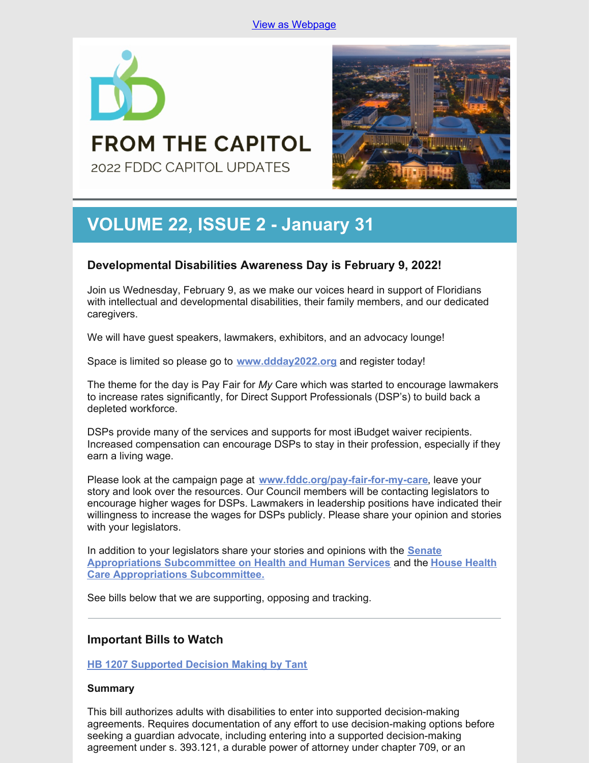

# 2022 FDDC CAPITOL UPDATES

**FROM THE CAPITOL** 

# **VOLUME 22, ISSUE 2 - January 31**

## **Developmental Disabilities Awareness Day is February 9, 2022!**

Join us Wednesday, February 9, as we make our voices heard in support of Floridians with intellectual and developmental disabilities, their family members, and our dedicated caregivers.

We will have guest speakers, lawmakers, exhibitors, and an advocacy lounge!

Space is limited so please go to **[www.ddday2022.org](https://ddday2022.org/)** and register today!

The theme for the day is Pay Fair for *My* Care which was started to encourage lawmakers to increase rates significantly, for Direct Support Professionals (DSP's) to build back a depleted workforce.

DSPs provide many of the services and supports for most iBudget waiver recipients. Increased compensation can encourage DSPs to stay in their profession, especially if they earn a living wage.

Please look at the campaign page at **[www.fddc.org/pay-fair-for-my-care](https://www.fddc.org/pay-fair-for-my-care/)**, leave your story and look over the resources. Our Council members will be contacting legislators to encourage higher wages for DSPs. Lawmakers in leadership positions have indicated their willingness to increase the wages for DSPs publicly. Please share your opinion and stories with your legislators.

In addition to your legislators share your stories and opinions with the **Senate [Appropriations](https://www.myfloridahouse.gov/Sections/Committees/committeesdetail.aspx?CommitteeId=3088) Subcommittee on Health and Human Services** and the **House Health Care Appropriations Subcommittee.**

See bills below that we are supporting, opposing and tracking.

### **Important Bills to Watch**

**HB 1207 [Supported](https://www.myfloridahouse.gov/Sections/Bills/billsdetail.aspx?BillId=76061) Decision Making by Tant**

### **Summary**

This bill authorizes adults with disabilities to enter into supported decision-making agreements. Requires documentation of any effort to use decision-making options before seeking a guardian advocate, including entering into a supported decision-making agreement under s. 393.121, a durable power of attorney under chapter 709, or an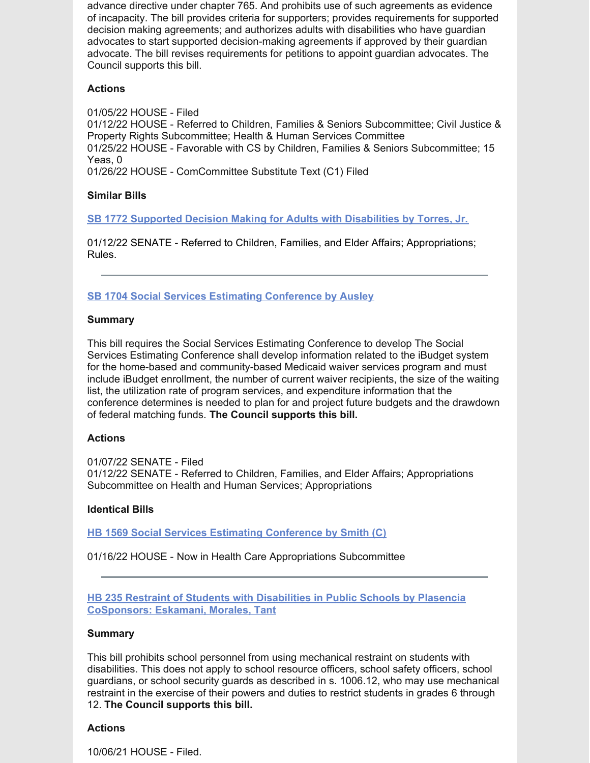advance directive under chapter 765. And prohibits use of such agreements as evidence of incapacity. The bill provides criteria for supporters; provides requirements for supported decision making agreements; and authorizes adults with disabilities who have guardian advocates to start supported decision-making agreements if approved by their guardian advocate. The bill revises requirements for petitions to appoint guardian advocates. The Council supports this bill.

### **Actions**

01/05/22 HOUSE - Filed 01/12/22 HOUSE - Referred to Children, Families & Seniors Subcommittee; Civil Justice & Property Rights Subcommittee; Health & Human Services Committee 01/25/22 HOUSE - Favorable with CS by Children, Families & Seniors Subcommittee; 15 Yeas, 0 01/26/22 HOUSE - ComCommittee Substitute Text (C1) Filed

### **Similar Bills**

**SB 1772 Supported Decision Making for Adults with [Disabilities](https://www.myfloridahouse.gov/Sections/Bills/billsdetail.aspx?BillId=76242&) by Torres, Jr.**

01/12/22 SENATE - Referred to Children, Families, and Elder Affairs; Appropriations; Rules.

**SB 1704 Social Services Estimating [Conference](https://www.myfloridahouse.gov/Sections/Bills/billsdetail.aspx?BillId=76170) by Ausley**

#### **Summary**

This bill requires the Social Services Estimating Conference to develop The Social Services Estimating Conference shall develop information related to the iBudget system for the home-based and community-based Medicaid waiver services program and must include iBudget enrollment, the number of current waiver recipients, the size of the waiting list, the utilization rate of program services, and expenditure information that the conference determines is needed to plan for and project future budgets and the drawdown of federal matching funds. **The Council supports this bill.**

#### **Actions**

01/07/22 SENATE - Filed 01/12/22 SENATE - Referred to Children, Families, and Elder Affairs; Appropriations Subcommittee on Health and Human Services; Appropriations

### **Identical Bills**

**HB 1569 Social Services Estimating [Conference](https://www.myfloridahouse.gov/Sections/Bills/billsdetail.aspx?BillId=76559&) by Smith (C)**

01/16/22 HOUSE - Now in Health Care Appropriations Subcommittee

**HB 235 Restraint of Students with Disabilities in Public Schools by Plasencia [CoSponsors:](https://www.myfloridahouse.gov/Sections/Bills/billsdetail.aspx?BillId=73355) Eskamani, Morales, Tant**

#### **Summary**

This bill prohibits school personnel from using mechanical restraint on students with disabilities. This does not apply to school resource officers, school safety officers, school guardians, or school security guards as described in s. 1006.12, who may use mechanical restraint in the exercise of their powers and duties to restrict students in grades 6 through 12. **The Council supports this bill.**

#### **Actions**

10/06/21 HOUSE - Filed.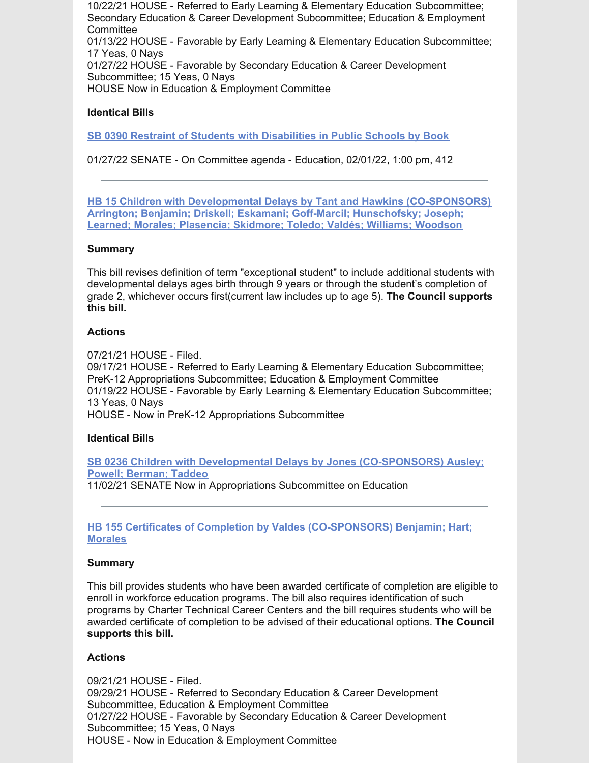10/22/21 HOUSE - Referred to Early Learning & Elementary Education Subcommittee; Secondary Education & Career Development Subcommittee; Education & Employment **Committee** 01/13/22 HOUSE - Favorable by Early Learning & Elementary Education Subcommittee; 17 Yeas, 0 Nays

01/27/22 HOUSE - Favorable by Secondary Education & Career Development Subcommittee; 15 Yeas, 0 Nays

HOUSE Now in Education & Employment Committee

#### **Identical Bills**

**SB 0390 Restraint of Students with [Disabilities](https://www.myfloridahouse.gov/Sections/Bills/billsdetail.aspx?BillId=73330&) in Public Schools by Book**

01/27/22 SENATE - On Committee agenda - Education, 02/01/22, 1:00 pm, 412

**HB 15 Children with Developmental Delays by Tant and Hawkins [\(CO-SPONSORS\)](https://www.myfloridahouse.gov/Sections/Bills/billsdetail.aspx?BillId=73025) Arrington; Benjamin; Driskell; Eskamani; Goff-Marcil; Hunschofsky; Joseph; Learned; Morales; Plasencia; Skidmore; Toledo; Valdés; Williams; Woodson**

#### **Summary**

This bill revises definition of term "exceptional student" to include additional students with developmental delays ages birth through 9 years or through the student's completion of grade 2, whichever occurs first(current law includes up to age 5). **The Council supports this bill.**

#### **Actions**

07/21/21 HOUSE - Filed. 09/17/21 HOUSE - Referred to Early Learning & Elementary Education Subcommittee; PreK-12 Appropriations Subcommittee; Education & Employment Committee 01/19/22 HOUSE - Favorable by Early Learning & Elementary Education Subcommittee; 13 Yeas, 0 Nays HOUSE - Now in PreK-12 Appropriations Subcommittee

#### **Identical Bills**

**SB 0236 Children with Developmental Delays by Jones [\(CO-SPONSORS\)](https://www.myfloridahouse.gov/Sections/Bills/billsdetail.aspx?BillId=73164&) Ausley; Powell; Berman; Taddeo** 11/02/21 SENATE Now in Appropriations Subcommittee on Education

#### **HB 155 Certificates of Completion by Valdes [\(CO-SPONSORS\)](https://www.myfloridahouse.gov/Sections/Bills/billsdetail.aspx?BillId=73206) Benjamin; Hart; Morales**

#### **Summary**

This bill provides students who have been awarded certificate of completion are eligible to enroll in workforce education programs. The bill also requires identification of such programs by Charter Technical Career Centers and the bill requires students who will be awarded certificate of completion to be advised of their educational options. **The Council supports this bill.**

### **Actions**

09/21/21 HOUSE - Filed. 09/29/21 HOUSE - Referred to Secondary Education & Career Development Subcommittee, Education & Employment Committee 01/27/22 HOUSE - Favorable by Secondary Education & Career Development Subcommittee; 15 Yeas, 0 Nays HOUSE - Now in Education & Employment Committee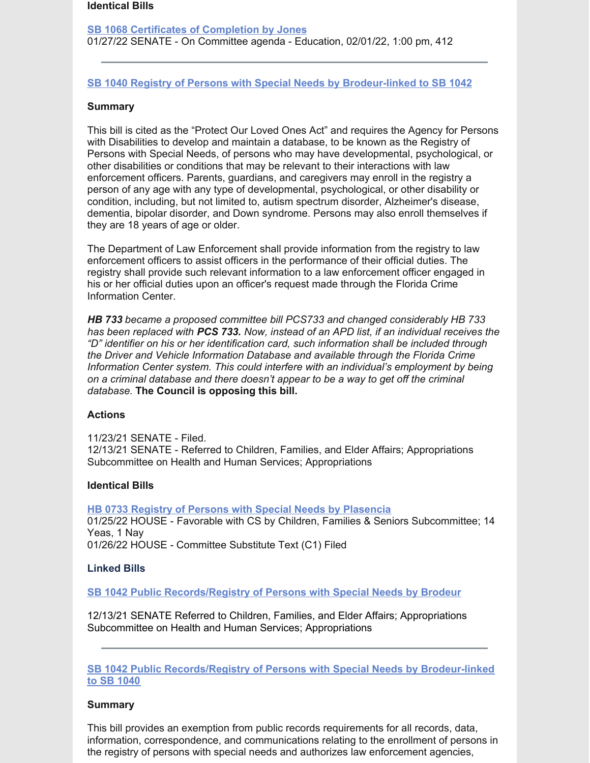#### **Identical Bills**

**SB 1068 Certificates of [Completion](https://www.myfloridahouse.gov/Sections/Bills/billsdetail.aspx?BillId=75103&) by Jones** 01/27/22 SENATE - On Committee agenda - Education, 02/01/22, 1:00 pm, 412

#### **SB 1040 Registry of Persons with Special Needs by [Brodeur-linked](https://www.myfloridahouse.gov/Sections/Bills/billsdetail.aspx?BillId=74991) to SB 1042**

#### **Summary**

This bill is cited as the "Protect Our Loved Ones Act" and requires the Agency for Persons with Disabilities to develop and maintain a database, to be known as the Registry of Persons with Special Needs, of persons who may have developmental, psychological, or other disabilities or conditions that may be relevant to their interactions with law enforcement officers. Parents, guardians, and caregivers may enroll in the registry a person of any age with any type of developmental, psychological, or other disability or condition, including, but not limited to, autism spectrum disorder, Alzheimer's disease, dementia, bipolar disorder, and Down syndrome. Persons may also enroll themselves if they are 18 years of age or older.

The Department of Law Enforcement shall provide information from the registry to law enforcement officers to assist officers in the performance of their official duties. The registry shall provide such relevant information to a law enforcement officer engaged in his or her official duties upon an officer's request made through the Florida Crime Information Center.

*HB 733 became a proposed committee bill PCS733 and changed considerably HB 733 has been replaced with PCS 733. Now, instead of an APD list, if an individual receives the "D" identifier on his or her identification card, such information shall be included through the Driver and Vehicle Information Database and available through the Florida Crime Information Center system. This could interfere with an individual's employment by being on a criminal database and there doesn't appear to be a way to get off the criminal database.* **The Council is opposing this bill.**

#### **Actions**

11/23/21 SENATE - Filed. 12/13/21 SENATE - Referred to Children, Families, and Elder Affairs; Appropriations Subcommittee on Health and Human Services; Appropriations

#### **Identical Bills**

**HB 0733 Registry of Persons with Special Needs by [Plasencia](https://www.myfloridahouse.gov/Sections/Bills/billsdetail.aspx?BillId=75034&)** 01/25/22 HOUSE - Favorable with CS by Children, Families & Seniors Subcommittee; 14 Yeas, 1 Nay 01/26/22 HOUSE - Committee Substitute Text (C1) Filed

#### **Linked Bills**

**SB 1042 Public [Records/Registry](https://www.myfloridahouse.gov/Sections/Bills/billsdetail.aspx?BillId=74990&) of Persons with Special Needs by Brodeur**

12/13/21 SENATE Referred to Children, Families, and Elder Affairs; Appropriations Subcommittee on Health and Human Services; Appropriations

**SB 1042 Public [Records/Registry](https://www.myfloridahouse.gov/Sections/Bills/billsdetail.aspx?BillId=74990&) of Persons with Special Needs by Brodeur-linked to SB 1040**

#### **Summary**

This bill provides an exemption from public records requirements for all records, data, information, correspondence, and communications relating to the enrollment of persons in the registry of persons with special needs and authorizes law enforcement agencies,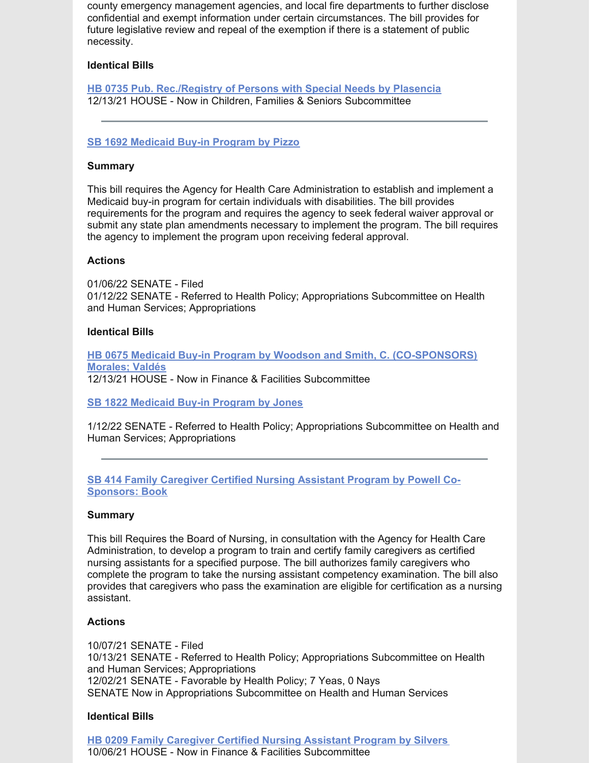county emergency management agencies, and local fire departments to further disclose confidential and exempt information under certain circumstances. The bill provides for future legislative review and repeal of the exemption if there is a statement of public necessity.

#### **Identical Bills**

**HB 0735 Pub. [Rec./Registry](https://www.myfloridahouse.gov/Sections/Bills/billsdetail.aspx?BillId=75035&) of Persons with Special Needs by Plasencia** 12/13/21 HOUSE - Now in Children, Families & Seniors Subcommittee

#### **SB 1692 [Medicaid](https://www.myfloridahouse.gov/Sections/Bills/billsdetail.aspx?BillId=76163) Buy-in Program by Pizzo**

#### **Summary**

This bill requires the Agency for Health Care Administration to establish and implement a Medicaid buy-in program for certain individuals with disabilities. The bill provides requirements for the program and requires the agency to seek federal waiver approval or submit any state plan amendments necessary to implement the program. The bill requires the agency to implement the program upon receiving federal approval.

#### **Actions**

01/06/22 SENATE - Filed 01/12/22 SENATE - Referred to Health Policy; Appropriations Subcommittee on Health and Human Services; Appropriations

#### **Identical Bills**

**HB 0675 Medicaid Buy-in Program by Woodson and Smith, C. [\(CO-SPONSORS\)](https://www.myfloridahouse.gov/Sections/Bills/billsdetail.aspx?BillId=74798&) Morales; Valdés** 12/13/21 HOUSE - Now in Finance & Facilities Subcommittee

**SB 1822 [Medicaid](https://www.myfloridahouse.gov/Sections/Bills/billsdetail.aspx?BillId=76281&) Buy-in Program by Jones**

1/12/22 SENATE - Referred to Health Policy; Appropriations Subcommittee on Health and Human Services; Appropriations

**SB 414 Family Caregiver Certified Nursing Assistant Program by Powell Co-[Sponsors:](https://www.myfloridahouse.gov/Sections/Bills/billsdetail.aspx?BillId=73361&) Book**

#### **Summary**

This bill Requires the Board of Nursing, in consultation with the Agency for Health Care Administration, to develop a program to train and certify family caregivers as certified nursing assistants for a specified purpose. The bill authorizes family caregivers who complete the program to take the nursing assistant competency examination. The bill also provides that caregivers who pass the examination are eligible for certification as a nursing assistant.

#### **Actions**

10/07/21 SENATE - Filed 10/13/21 SENATE - Referred to Health Policy; Appropriations Subcommittee on Health and Human Services; Appropriations 12/02/21 SENATE - Favorable by Health Policy; 7 Yeas, 0 Nays SENATE Now in Appropriations Subcommittee on Health and Human Services

#### **Identical Bills**

**HB 0209 Family [Caregiver](https://www.myfloridahouse.gov/Sections/Bills/billsdetail.aspx?BillId=73306) Certified Nursing Assistant Program by Silvers** 10/06/21 HOUSE - Now in Finance & Facilities Subcommittee